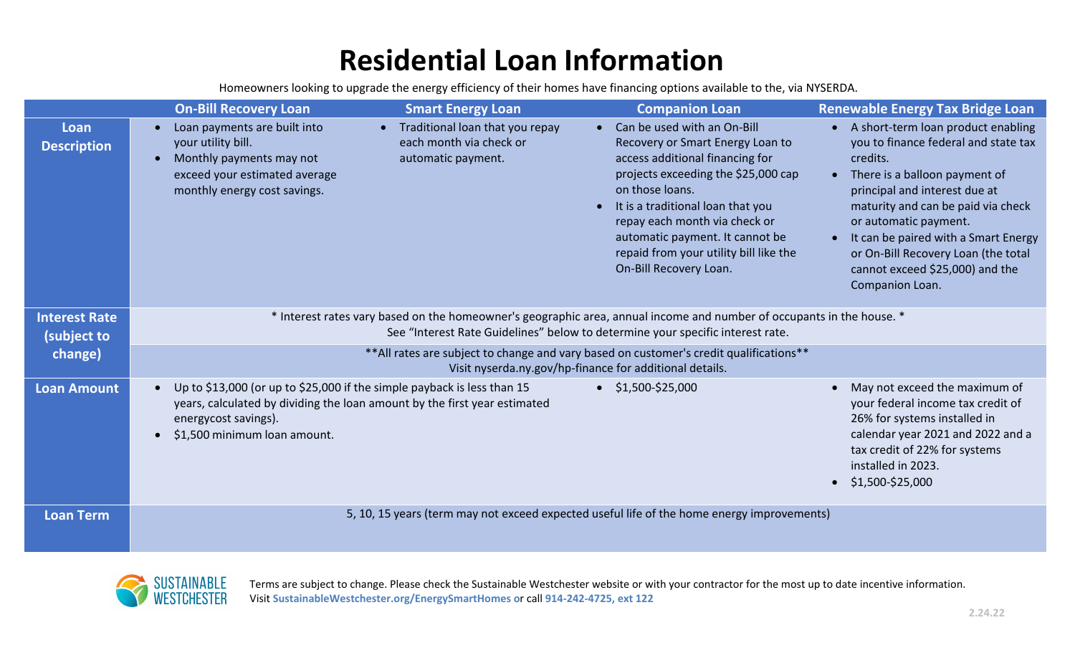# **Residential Loan Information**

Homeowners looking to upgrade the energy efficiency of their homes have financing options available to the, via NYSERDA.

|                                     | <b>On-Bill Recovery Loan</b>                                                                                                                                                                            | <b>Smart Energy Loan</b>                                                           | <b>Companion Loan</b>                                                                                                                                                                                                                                                                                                                     | <b>Renewable Energy Tax Bridge Loan</b>                                                                                                                                                                                                                                                                                                                                     |  |  |  |
|-------------------------------------|---------------------------------------------------------------------------------------------------------------------------------------------------------------------------------------------------------|------------------------------------------------------------------------------------|-------------------------------------------------------------------------------------------------------------------------------------------------------------------------------------------------------------------------------------------------------------------------------------------------------------------------------------------|-----------------------------------------------------------------------------------------------------------------------------------------------------------------------------------------------------------------------------------------------------------------------------------------------------------------------------------------------------------------------------|--|--|--|
| Loan<br><b>Description</b>          | Loan payments are built into<br>your utility bill.<br>Monthly payments may not<br>exceed your estimated average<br>monthly energy cost savings.                                                         | • Traditional loan that you repay<br>each month via check or<br>automatic payment. | Can be used with an On-Bill<br>Recovery or Smart Energy Loan to<br>access additional financing for<br>projects exceeding the \$25,000 cap<br>on those loans.<br>It is a traditional loan that you<br>repay each month via check or<br>automatic payment. It cannot be<br>repaid from your utility bill like the<br>On-Bill Recovery Loan. | • A short-term loan product enabling<br>you to finance federal and state tax<br>credits.<br>There is a balloon payment of<br>$\bullet$<br>principal and interest due at<br>maturity and can be paid via check<br>or automatic payment.<br>It can be paired with a Smart Energy<br>or On-Bill Recovery Loan (the total<br>cannot exceed \$25,000) and the<br>Companion Loan. |  |  |  |
| <b>Interest Rate</b><br>(subject to | * Interest rates vary based on the homeowner's geographic area, annual income and number of occupants in the house. *<br>See "Interest Rate Guidelines" below to determine your specific interest rate. |                                                                                    |                                                                                                                                                                                                                                                                                                                                           |                                                                                                                                                                                                                                                                                                                                                                             |  |  |  |
| change)                             | ** All rates are subject to change and vary based on customer's credit qualifications**<br>Visit nyserda.ny.gov/hp-finance for additional details.                                                      |                                                                                    |                                                                                                                                                                                                                                                                                                                                           |                                                                                                                                                                                                                                                                                                                                                                             |  |  |  |
| <b>Loan Amount</b>                  | Up to \$13,000 (or up to \$25,000 if the simple payback is less than 15<br>energycost savings).<br>\$1,500 minimum loan amount.                                                                         | years, calculated by dividing the loan amount by the first year estimated          | $\bullet$ \$1,500-\$25,000                                                                                                                                                                                                                                                                                                                | May not exceed the maximum of<br>your federal income tax credit of<br>26% for systems installed in<br>calendar year 2021 and 2022 and a<br>tax credit of 22% for systems<br>installed in 2023.<br>\$1,500-\$25,000                                                                                                                                                          |  |  |  |
| Loan Term                           |                                                                                                                                                                                                         |                                                                                    | 5, 10, 15 years (term may not exceed expected useful life of the home energy improvements)                                                                                                                                                                                                                                                |                                                                                                                                                                                                                                                                                                                                                                             |  |  |  |



Terms are subject to change. Please check the Sustainable Westchester website or with your contractor for the most up to date incentive information. Visit **SustainableWestchester.org/EnergySmartHomes o**r call **914-242-4725, ext 122**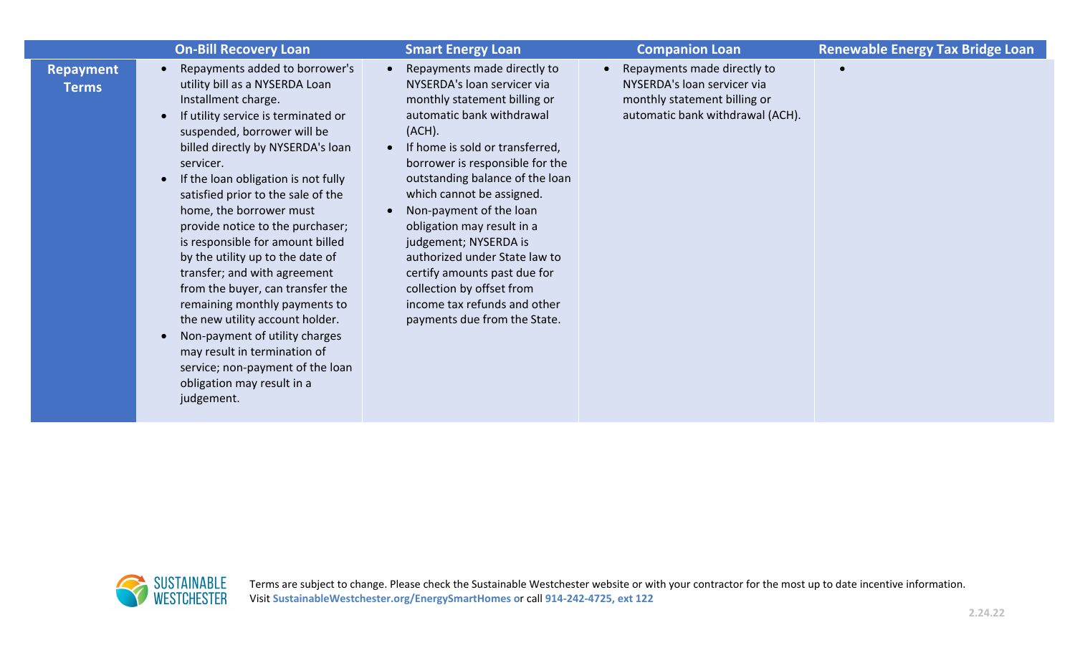|                                  | <b>On-Bill Recovery Loan</b>                                                                                                                                                                                                                                                                                                                                                                                                                                                                                                                                                                                                                                                                                                  | <b>Smart Energy Loan</b>                                                                                                                                                                                                                                                                                                                                                                                                                                                                                                                          | <b>Companion Loan</b>                                                                                                                       | <b>Renewable Energy Tax Bridge Loan</b> |
|----------------------------------|-------------------------------------------------------------------------------------------------------------------------------------------------------------------------------------------------------------------------------------------------------------------------------------------------------------------------------------------------------------------------------------------------------------------------------------------------------------------------------------------------------------------------------------------------------------------------------------------------------------------------------------------------------------------------------------------------------------------------------|---------------------------------------------------------------------------------------------------------------------------------------------------------------------------------------------------------------------------------------------------------------------------------------------------------------------------------------------------------------------------------------------------------------------------------------------------------------------------------------------------------------------------------------------------|---------------------------------------------------------------------------------------------------------------------------------------------|-----------------------------------------|
| <b>Repayment</b><br><b>Terms</b> | Repayments added to borrower's<br>utility bill as a NYSERDA Loan<br>Installment charge.<br>If utility service is terminated or<br>suspended, borrower will be<br>billed directly by NYSERDA's loan<br>servicer.<br>If the loan obligation is not fully<br>satisfied prior to the sale of the<br>home, the borrower must<br>provide notice to the purchaser;<br>is responsible for amount billed<br>by the utility up to the date of<br>transfer; and with agreement<br>from the buyer, can transfer the<br>remaining monthly payments to<br>the new utility account holder.<br>Non-payment of utility charges<br>may result in termination of<br>service; non-payment of the loan<br>obligation may result in a<br>judgement. | Repayments made directly to<br>$\bullet$<br>NYSERDA's loan servicer via<br>monthly statement billing or<br>automatic bank withdrawal<br>(ACH).<br>If home is sold or transferred,<br>$\bullet$<br>borrower is responsible for the<br>outstanding balance of the loan<br>which cannot be assigned.<br>Non-payment of the loan<br>obligation may result in a<br>judgement; NYSERDA is<br>authorized under State law to<br>certify amounts past due for<br>collection by offset from<br>income tax refunds and other<br>payments due from the State. | Repayments made directly to<br>$\bullet$<br>NYSERDA's loan servicer via<br>monthly statement billing or<br>automatic bank withdrawal (ACH). |                                         |

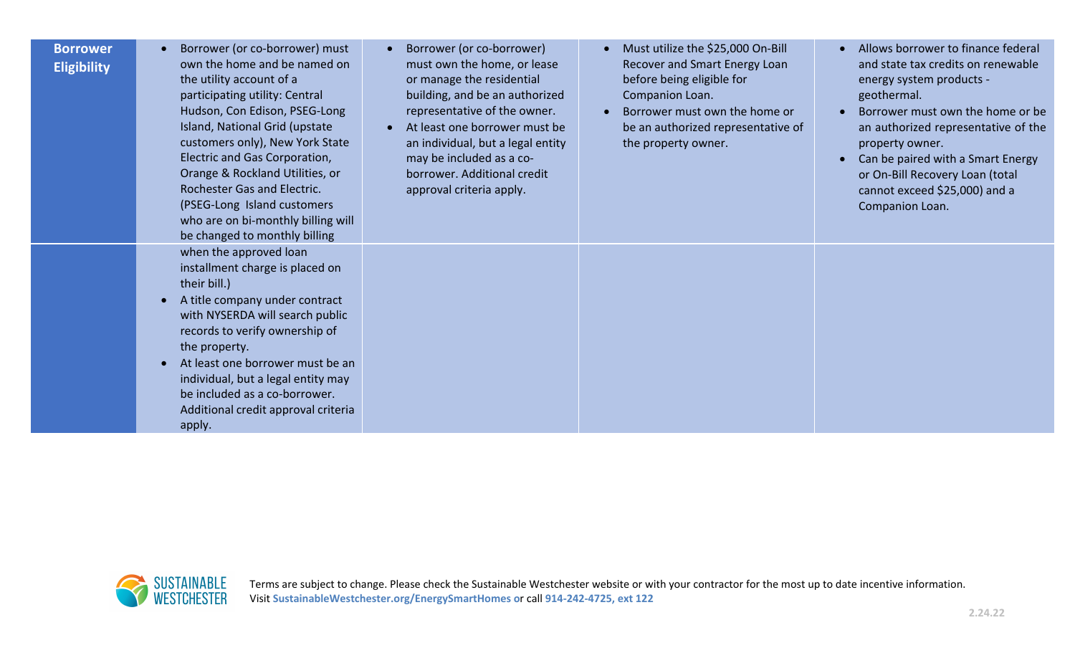## **Borrower Eligibility**

- Borrower (or co-borrower) must own the home and be named on the utility account of a participating utility: Central Hudson, Con Edison, PSEG-Long Island, National Grid (upstate customers only), New York State Electric and Gas Corporation, Orange & Rockland Utilities, or Rochester Gas and Electric. (PSEG-Long Island customers who are on bi-monthly billing will be changed to monthly billing when the approved loan installment charge is placed on their bill.)
- A title company under contract with NYSERDA will search public records to verify ownership of the property.
- At least one borrower must be an individual, but a legal entity may be included as a co-borrower. Additional credit approval criteria apply.
- Borrower (or co-borrower) must own the home, or lease or manage the residential building, and be an authorized representative of the owner.
- At least one borrower must be an individual, but a legal entity may be included as a coborrower. Additional credit approval criteria apply.
- Must utilize the \$25,000 On-Bill Recover and Smart Energy Loan before being eligible for Companion Loan.
- Borrower must own the home or be an authorized representative of the property owner.
- Allows borrower to finance federal and state tax credits on renewable energy system products geothermal.
- Borrower must own the home or be an authorized representative of the property owner.
- Can be paired with a Smart Energy or On-Bill Recovery Loan (total cannot exceed \$25,000) and a Companion Loan.

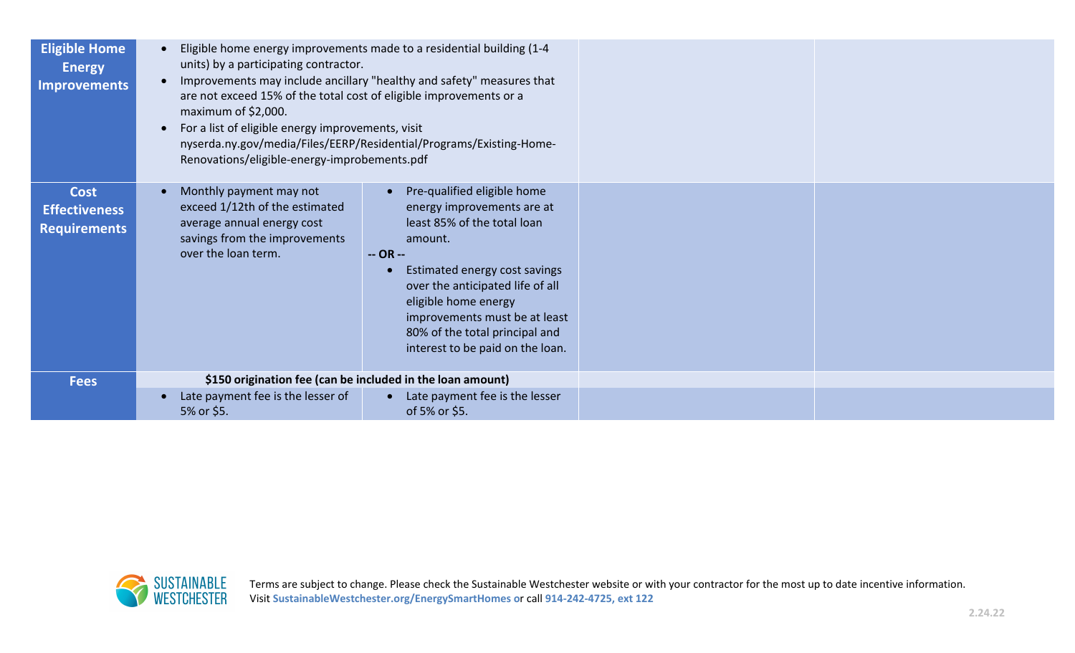| <b>Eligible Home</b><br><b>Energy</b><br><b>Improvements</b> | Eligible home energy improvements made to a residential building (1-4<br>units) by a participating contractor.<br>Improvements may include ancillary "healthy and safety" measures that<br>are not exceed 15% of the total cost of eligible improvements or a<br>maximum of \$2,000.<br>For a list of eligible energy improvements, visit<br>nyserda.ny.gov/media/Files/EERP/Residential/Programs/Existing-Home-<br>Renovations/eligible-energy-improbements.pdf |                                                                                                                                                                                                                                                                                                         |
|--------------------------------------------------------------|------------------------------------------------------------------------------------------------------------------------------------------------------------------------------------------------------------------------------------------------------------------------------------------------------------------------------------------------------------------------------------------------------------------------------------------------------------------|---------------------------------------------------------------------------------------------------------------------------------------------------------------------------------------------------------------------------------------------------------------------------------------------------------|
| <b>Cost</b><br><b>Effectiveness</b><br><b>Requirements</b>   | Monthly payment may not<br>exceed 1/12th of the estimated<br>average annual energy cost<br>savings from the improvements<br>over the loan term.<br>$-OR -$                                                                                                                                                                                                                                                                                                       | Pre-qualified eligible home<br>energy improvements are at<br>least 85% of the total loan<br>amount.<br>Estimated energy cost savings<br>over the anticipated life of all<br>eligible home energy<br>improvements must be at least<br>80% of the total principal and<br>interest to be paid on the loan. |
| <b>Fees</b>                                                  | \$150 origination fee (can be included in the loan amount)                                                                                                                                                                                                                                                                                                                                                                                                       |                                                                                                                                                                                                                                                                                                         |
|                                                              | Late payment fee is the lesser of<br>5% or \$5.                                                                                                                                                                                                                                                                                                                                                                                                                  | • Late payment fee is the lesser<br>of 5% or \$5.                                                                                                                                                                                                                                                       |

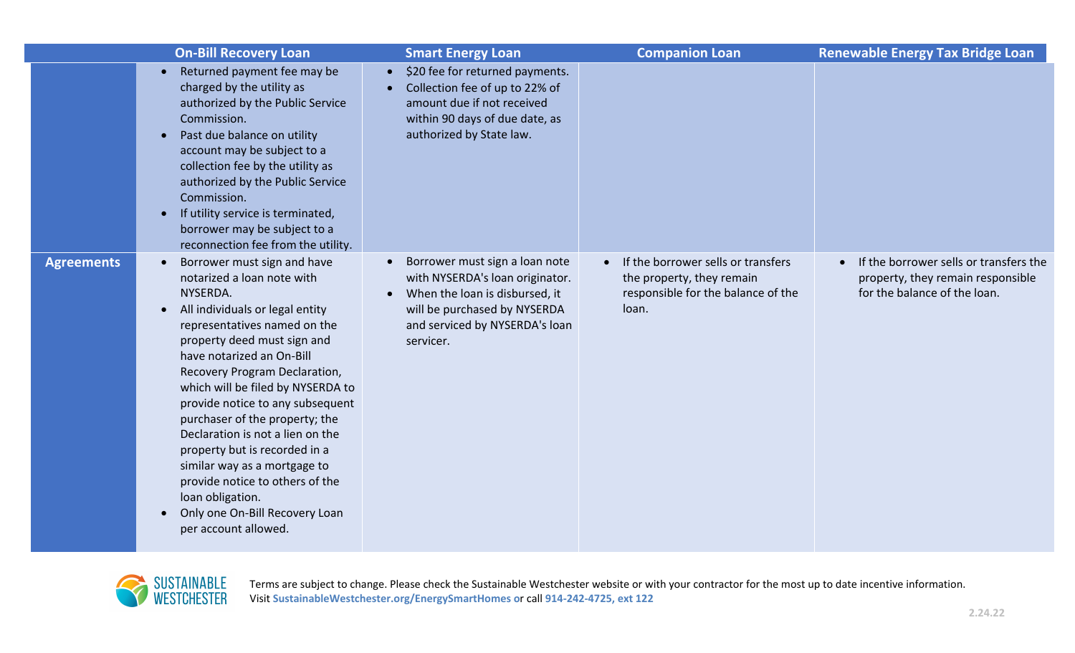|                   | <b>On-Bill Recovery Loan</b>                                                                                                                                                                                                                                                                                                                                                                                                                                                                                                                                                                     | <b>Smart Energy Loan</b>                                                                                                                                                                                     | <b>Companion Loan</b>                                                                                          | <b>Renewable Energy Tax Bridge Loan</b>                                                                     |
|-------------------|--------------------------------------------------------------------------------------------------------------------------------------------------------------------------------------------------------------------------------------------------------------------------------------------------------------------------------------------------------------------------------------------------------------------------------------------------------------------------------------------------------------------------------------------------------------------------------------------------|--------------------------------------------------------------------------------------------------------------------------------------------------------------------------------------------------------------|----------------------------------------------------------------------------------------------------------------|-------------------------------------------------------------------------------------------------------------|
|                   | Returned payment fee may be<br>charged by the utility as<br>authorized by the Public Service<br>Commission.<br>Past due balance on utility<br>$\bullet$<br>account may be subject to a<br>collection fee by the utility as<br>authorized by the Public Service<br>Commission.<br>If utility service is terminated,<br>borrower may be subject to a<br>reconnection fee from the utility.                                                                                                                                                                                                         | \$20 fee for returned payments.<br>$\bullet$<br>Collection fee of up to 22% of<br>amount due if not received<br>within 90 days of due date, as<br>authorized by State law.                                   |                                                                                                                |                                                                                                             |
| <b>Agreements</b> | Borrower must sign and have<br>$\bullet$<br>notarized a loan note with<br>NYSERDA.<br>All individuals or legal entity<br>$\bullet$<br>representatives named on the<br>property deed must sign and<br>have notarized an On-Bill<br>Recovery Program Declaration,<br>which will be filed by NYSERDA to<br>provide notice to any subsequent<br>purchaser of the property; the<br>Declaration is not a lien on the<br>property but is recorded in a<br>similar way as a mortgage to<br>provide notice to others of the<br>loan obligation.<br>Only one On-Bill Recovery Loan<br>per account allowed. | Borrower must sign a loan note<br>$\bullet$<br>with NYSERDA's loan originator.<br>When the loan is disbursed, it<br>$\bullet$<br>will be purchased by NYSERDA<br>and serviced by NYSERDA's loan<br>servicer. | If the borrower sells or transfers<br>the property, they remain<br>responsible for the balance of the<br>loan. | If the borrower sells or transfers the<br>property, they remain responsible<br>for the balance of the loan. |



Terms are subject to change. Please check the Sustainable Westchester website or with your contractor for the most up to date incentive information. Visit **SustainableWestchester.org/EnergySmartHomes o**r call **914-242-4725, ext 122**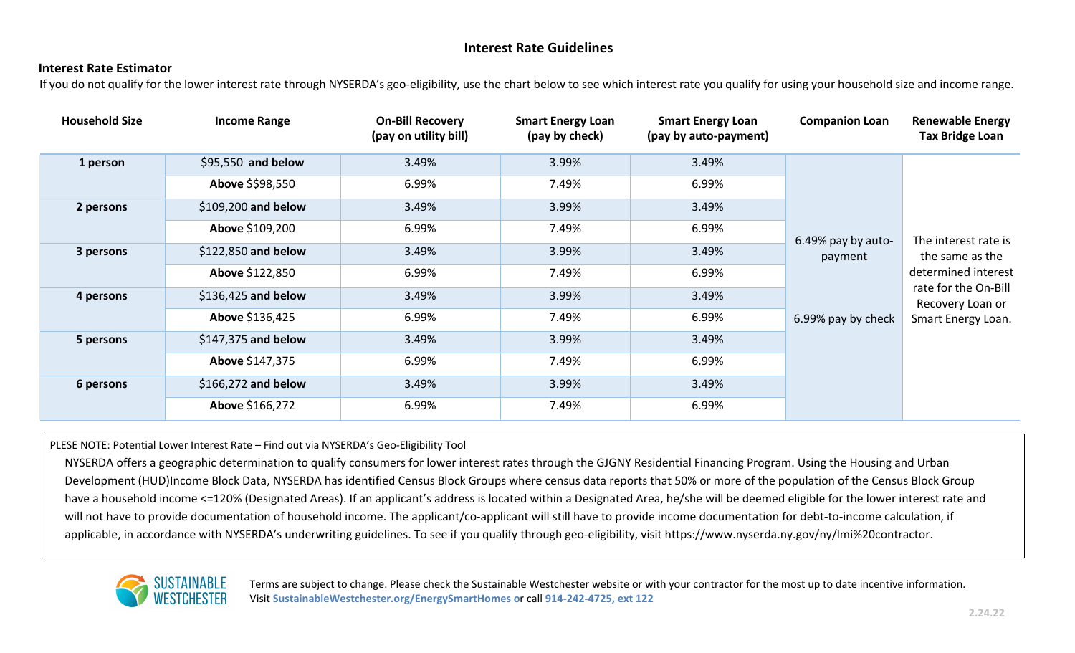# **Interest Rate Guidelines**

#### **Interest Rate Estimator**

If you do not qualify for the lower interest rate through NYSERDA's geo-eligibility, use the chart below to see which interest rate you qualify for using your household size and income range.

| <b>Household Size</b> | <b>Income Range</b>  | <b>On-Bill Recovery</b><br>(pay on utility bill) | <b>Smart Energy Loan</b><br>(pay by check) | <b>Smart Energy Loan</b><br>(pay by auto-payment) | <b>Companion Loan</b>         | <b>Renewable Energy</b><br><b>Tax Bridge Loan</b>                                                                                |
|-----------------------|----------------------|--------------------------------------------------|--------------------------------------------|---------------------------------------------------|-------------------------------|----------------------------------------------------------------------------------------------------------------------------------|
| 1 person              | \$95,550 and below   | 3.49%                                            | 3.99%                                      | 3.49%                                             |                               | The interest rate is<br>the same as the<br>determined interest<br>rate for the On-Bill<br>Recovery Loan or<br>Smart Energy Loan. |
|                       | Above \$\$98,550     | 6.99%                                            | 7.49%                                      | 6.99%                                             |                               |                                                                                                                                  |
| 2 persons             | $$109,200$ and below | 3.49%                                            | 3.99%                                      | 3.49%                                             |                               |                                                                                                                                  |
|                       | Above \$109,200      | 6.99%                                            | 7.49%                                      | 6.99%                                             | 6.49% pay by auto-<br>payment |                                                                                                                                  |
| 3 persons             | \$122,850 and below  | 3.49%                                            | 3.99%                                      | 3.49%                                             |                               |                                                                                                                                  |
|                       | Above \$122,850      | 6.99%                                            | 7.49%                                      | 6.99%                                             |                               |                                                                                                                                  |
| 4 persons             | \$136,425 and below  | 3.49%                                            | 3.99%                                      | 3.49%                                             |                               |                                                                                                                                  |
|                       | Above \$136,425      | 6.99%                                            | 7.49%                                      | 6.99%                                             | 6.99% pay by check            |                                                                                                                                  |
| 5 persons             | $$147,375$ and below | 3.49%                                            | 3.99%                                      | 3.49%                                             |                               |                                                                                                                                  |
|                       | Above \$147,375      | 6.99%                                            | 7.49%                                      | 6.99%                                             |                               |                                                                                                                                  |
| 6 persons             | $$166,272$ and below | 3.49%                                            | 3.99%                                      | 3.49%                                             |                               |                                                                                                                                  |
|                       | Above \$166,272      | 6.99%                                            | 7.49%                                      | 6.99%                                             |                               |                                                                                                                                  |

PLESE NOTE: Potential Lower Interest Rate – Find out via NYSERDA's Geo-Eligibility Tool

NYSERDA offers a geographic determination to qualify consumers for lower interest rates through the GJGNY Residential Financing Program. Using the Housing and Urban Development (HUD)Income Block Data, NYSERDA has identified Census Block Groups where census data reports that 50% or more of the population of the Census Block Group have a household income <=120% (Designated Areas). If an applicant's address is located within a Designated Area, he/she will be deemed eligible for the lower interest rate and will not have to provide documentation of household income. The applicant/co-applicant will still have to provide income documentation for debt-to-income calculation, if applicable, in accordance with NYSERDA's underwriting guidelines. To see if you qualify through geo-eligibility, visit https://www.nyserda.ny.gov/ny/lmi%20contractor.



Terms are subject to change. Please check the Sustainable Westchester website or with your contractor for the most up to date incentive information. Visit **SustainableWestchester.org/EnergySmartHomes o**r call **914-242-4725, ext 122**